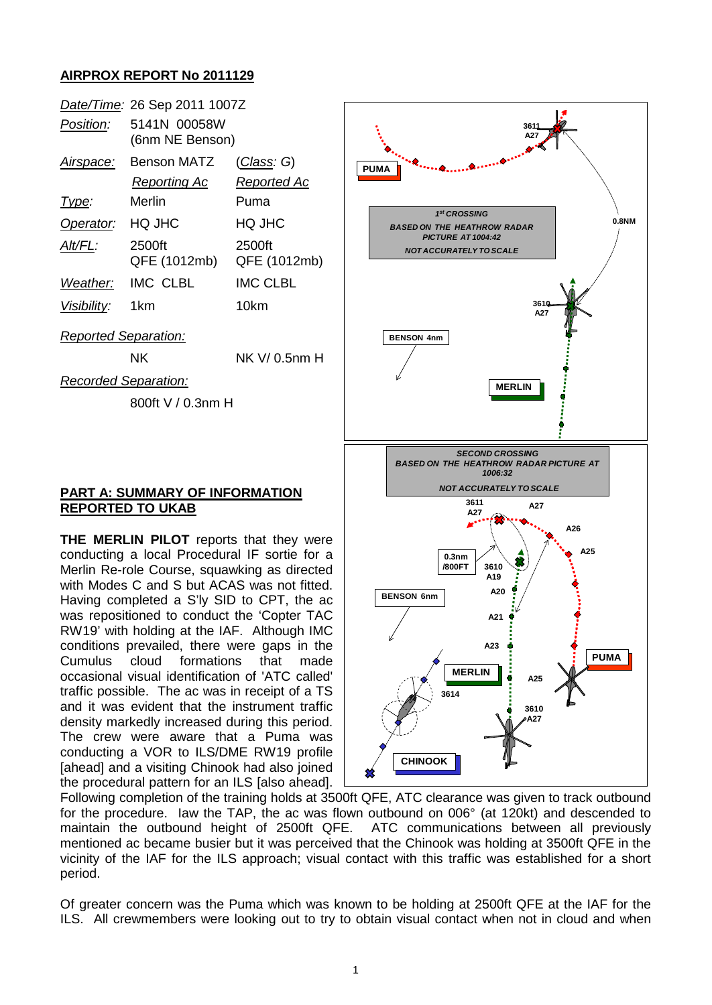## **AIRPROX REPORT No 2011129**

|                             | Date/Time: 26 Sep 2011 1007Z    |                                   |  |  |  |  |
|-----------------------------|---------------------------------|-----------------------------------|--|--|--|--|
| Position:                   | 5141N 00058W<br>(6nm NE Benson) |                                   |  |  |  |  |
| <u>Airspace:</u>            | Benson MATZ<br>Reporting Ac     | <u>(Class</u> : G)<br>Reported Ac |  |  |  |  |
| <u> I ype:</u>              | Merlin                          | Puma                              |  |  |  |  |
| Operator:                   | HQ JHC                          | HQ JHC                            |  |  |  |  |
| Alt/FL:                     | 2500ft<br>QFE (1012mb)          | 2500ft<br>QFE (1012mb)            |  |  |  |  |
| Weather:                    | <b>IMC CLBL</b>                 | <b>IMC CLBL</b>                   |  |  |  |  |
| Visibility:                 | 1km                             | 10km                              |  |  |  |  |
| <b>Reported Separation:</b> |                                 |                                   |  |  |  |  |
|                             | ΝK                              | NK V/ 0.5nm H                     |  |  |  |  |
| <b>Recorded Separation:</b> |                                 |                                   |  |  |  |  |
|                             | 800ft V / 0.3nm H               |                                   |  |  |  |  |

## **PART A: SUMMARY OF INFORMATION REPORTED TO UKAB**

**THE MERLIN PILOT** reports that they were conducting a local Procedural IF sortie for a Merlin Re-role Course, squawking as directed with Modes C and S but ACAS was not fitted. Having completed a S'ly SID to CPT, the ac was repositioned to conduct the 'Copter TAC RW19' with holding at the IAF. Although IMC conditions prevailed, there were gaps in the Cumulus cloud formations that made occasional visual identification of 'ATC called' traffic possible. The ac was in receipt of a TS and it was evident that the instrument traffic density markedly increased during this period. The crew were aware that a Puma was conducting a VOR to ILS/DME RW19 profile [ahead] and a visiting Chinook had also joined the procedural pattern for an ILS [also ahead].



Following completion of the training holds at 3500ft QFE, ATC clearance was given to track outbound for the procedure. Iaw the TAP, the ac was flown outbound on 006° (at 120kt) and descended to maintain the outbound height of 2500ft QFE. ATC communications between all previously mentioned ac became busier but it was perceived that the Chinook was holding at 3500ft QFE in the vicinity of the IAF for the ILS approach; visual contact with this traffic was established for a short period.

Of greater concern was the Puma which was known to be holding at 2500ft QFE at the IAF for the ILS. All crewmembers were looking out to try to obtain visual contact when not in cloud and when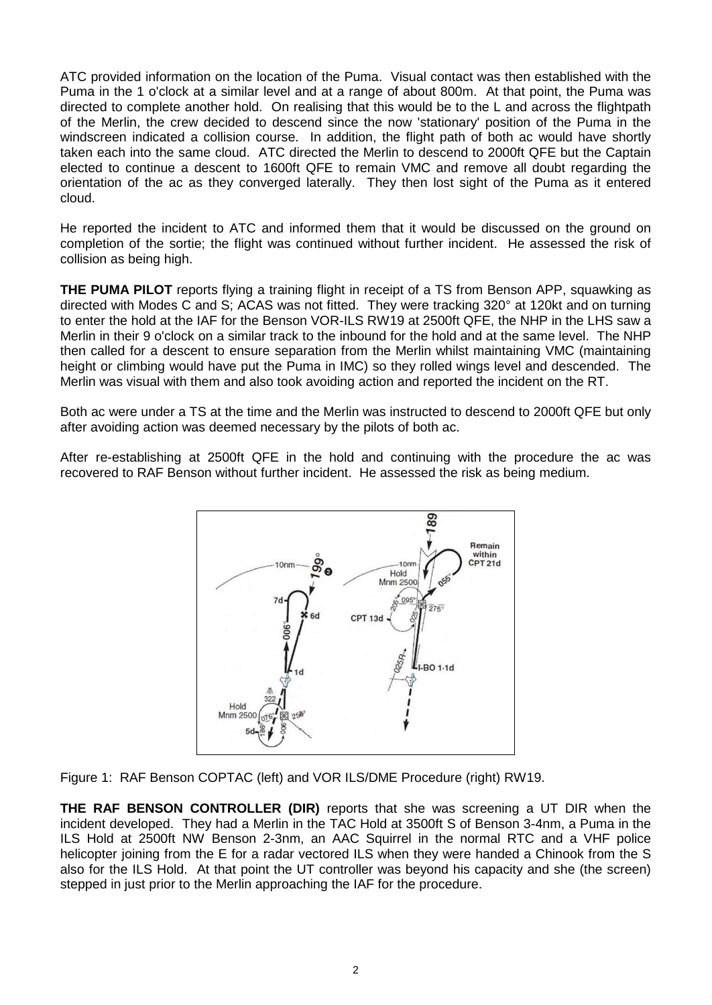ATC provided information on the location of the Puma. Visual contact was then established with the Puma in the 1 o'clock at a similar level and at a range of about 800m. At that point, the Puma was directed to complete another hold. On realising that this would be to the L and across the flightpath of the Merlin, the crew decided to descend since the now 'stationary' position of the Puma in the windscreen indicated a collision course. In addition, the flight path of both ac would have shortly taken each into the same cloud. ATC directed the Merlin to descend to 2000ft QFE but the Captain elected to continue a descent to 1600ft QFE to remain VMC and remove all doubt regarding the orientation of the ac as they converged laterally. They then lost sight of the Puma as it entered cloud.

He reported the incident to ATC and informed them that it would be discussed on the ground on completion of the sortie; the flight was continued without further incident. He assessed the risk of collision as being high.

**THE PUMA PILOT** reports flying a training flight in receipt of a TS from Benson APP, squawking as directed with Modes C and S; ACAS was not fitted. They were tracking 320° at 120kt and on turning to enter the hold at the IAF for the Benson VOR-ILS RW19 at 2500ft QFE, the NHP in the LHS saw a Merlin in their 9 o'clock on a similar track to the inbound for the hold and at the same level. The NHP then called for a descent to ensure separation from the Merlin whilst maintaining VMC (maintaining height or climbing would have put the Puma in IMC) so they rolled wings level and descended. The Merlin was visual with them and also took avoiding action and reported the incident on the RT.

Both ac were under a TS at the time and the Merlin was instructed to descend to 2000ft QFE but only after avoiding action was deemed necessary by the pilots of both ac.

After re-establishing at 2500ft QFE in the hold and continuing with the procedure the ac was recovered to RAF Benson without further incident. He assessed the risk as being medium.



Figure 1: RAF Benson COPTAC (left) and VOR ILS/DME Procedure (right) RW19.

**THE RAF BENSON CONTROLLER (DIR)** reports that she was screening a UT DIR when the incident developed. They had a Merlin in the TAC Hold at 3500ft S of Benson 3-4nm, a Puma in the ILS Hold at 2500ft NW Benson 2-3nm, an AAC Squirrel in the normal RTC and a VHF police helicopter joining from the E for a radar vectored ILS when they were handed a Chinook from the S also for the ILS Hold. At that point the UT controller was beyond his capacity and she (the screen) stepped in just prior to the Merlin approaching the IAF for the procedure.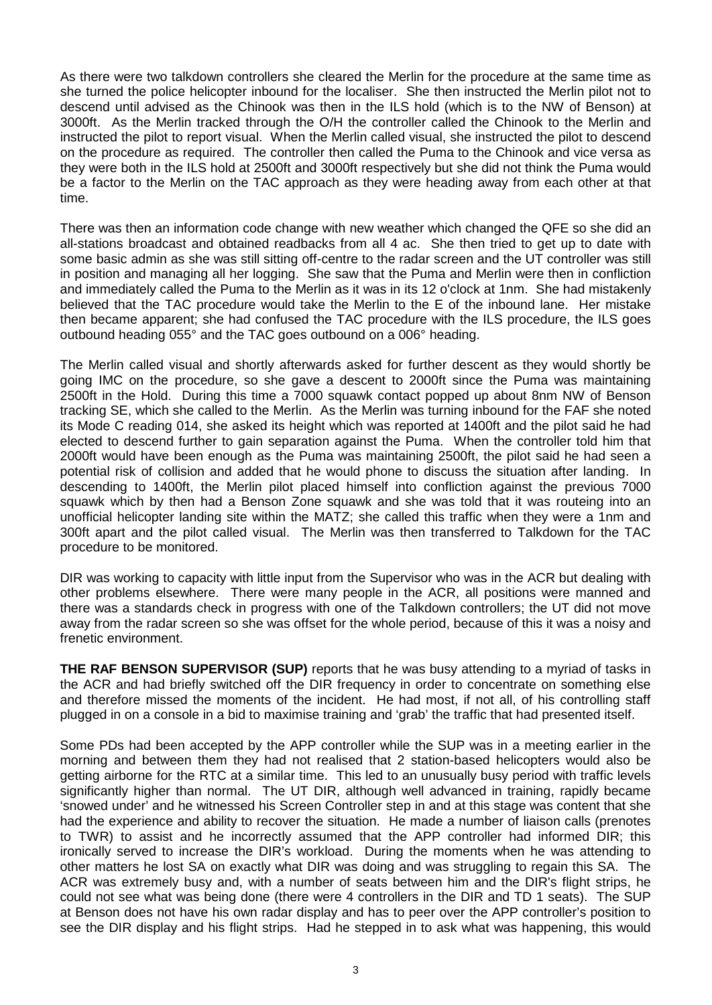As there were two talkdown controllers she cleared the Merlin for the procedure at the same time as she turned the police helicopter inbound for the localiser. She then instructed the Merlin pilot not to descend until advised as the Chinook was then in the ILS hold (which is to the NW of Benson) at 3000ft. As the Merlin tracked through the O/H the controller called the Chinook to the Merlin and instructed the pilot to report visual. When the Merlin called visual, she instructed the pilot to descend on the procedure as required. The controller then called the Puma to the Chinook and vice versa as they were both in the ILS hold at 2500ft and 3000ft respectively but she did not think the Puma would be a factor to the Merlin on the TAC approach as they were heading away from each other at that time.

There was then an information code change with new weather which changed the QFE so she did an all-stations broadcast and obtained readbacks from all 4 ac. She then tried to get up to date with some basic admin as she was still sitting off-centre to the radar screen and the UT controller was still in position and managing all her logging. She saw that the Puma and Merlin were then in confliction and immediately called the Puma to the Merlin as it was in its 12 o'clock at 1nm. She had mistakenly believed that the TAC procedure would take the Merlin to the E of the inbound lane. Her mistake then became apparent; she had confused the TAC procedure with the ILS procedure, the ILS goes outbound heading 055° and the TAC goes outbound on a 006° heading.

The Merlin called visual and shortly afterwards asked for further descent as they would shortly be going IMC on the procedure, so she gave a descent to 2000ft since the Puma was maintaining 2500ft in the Hold. During this time a 7000 squawk contact popped up about 8nm NW of Benson tracking SE, which she called to the Merlin. As the Merlin was turning inbound for the FAF she noted its Mode C reading 014, she asked its height which was reported at 1400ft and the pilot said he had elected to descend further to gain separation against the Puma. When the controller told him that 2000ft would have been enough as the Puma was maintaining 2500ft, the pilot said he had seen a potential risk of collision and added that he would phone to discuss the situation after landing. In descending to 1400ft, the Merlin pilot placed himself into confliction against the previous 7000 squawk which by then had a Benson Zone squawk and she was told that it was routeing into an unofficial helicopter landing site within the MATZ; she called this traffic when they were a 1nm and 300ft apart and the pilot called visual. The Merlin was then transferred to Talkdown for the TAC procedure to be monitored.

DIR was working to capacity with little input from the Supervisor who was in the ACR but dealing with other problems elsewhere. There were many people in the ACR, all positions were manned and there was a standards check in progress with one of the Talkdown controllers; the UT did not move away from the radar screen so she was offset for the whole period, because of this it was a noisy and frenetic environment.

**THE RAF BENSON SUPERVISOR (SUP)** reports that he was busy attending to a myriad of tasks in the ACR and had briefly switched off the DIR frequency in order to concentrate on something else and therefore missed the moments of the incident. He had most, if not all, of his controlling staff plugged in on a console in a bid to maximise training and 'grab' the traffic that had presented itself.

Some PDs had been accepted by the APP controller while the SUP was in a meeting earlier in the morning and between them they had not realised that 2 station-based helicopters would also be getting airborne for the RTC at a similar time. This led to an unusually busy period with traffic levels significantly higher than normal. The UT DIR, although well advanced in training, rapidly became 'snowed under' and he witnessed his Screen Controller step in and at this stage was content that she had the experience and ability to recover the situation. He made a number of liaison calls (prenotes to TWR) to assist and he incorrectly assumed that the APP controller had informed DIR; this ironically served to increase the DIR's workload. During the moments when he was attending to other matters he lost SA on exactly what DIR was doing and was struggling to regain this SA. The ACR was extremely busy and, with a number of seats between him and the DIR's flight strips, he could not see what was being done (there were 4 controllers in the DIR and TD 1 seats). The SUP at Benson does not have his own radar display and has to peer over the APP controller's position to see the DIR display and his flight strips. Had he stepped in to ask what was happening, this would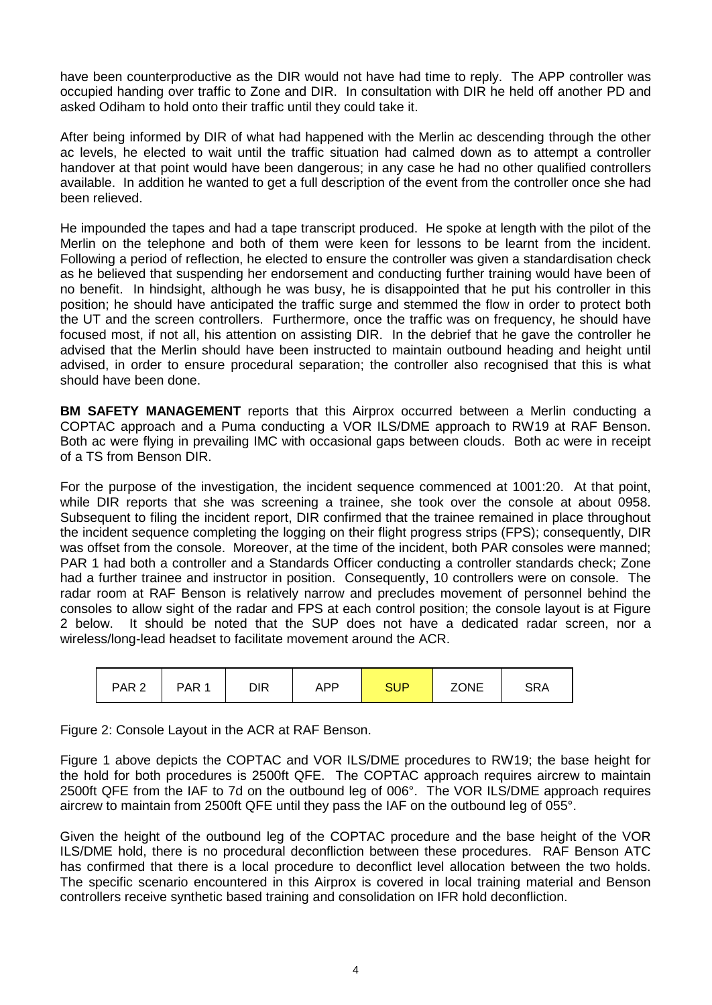have been counterproductive as the DIR would not have had time to reply. The APP controller was occupied handing over traffic to Zone and DIR. In consultation with DIR he held off another PD and asked Odiham to hold onto their traffic until they could take it.

After being informed by DIR of what had happened with the Merlin ac descending through the other ac levels, he elected to wait until the traffic situation had calmed down as to attempt a controller handover at that point would have been dangerous; in any case he had no other qualified controllers available. In addition he wanted to get a full description of the event from the controller once she had been relieved.

He impounded the tapes and had a tape transcript produced. He spoke at length with the pilot of the Merlin on the telephone and both of them were keen for lessons to be learnt from the incident. Following a period of reflection, he elected to ensure the controller was given a standardisation check as he believed that suspending her endorsement and conducting further training would have been of no benefit. In hindsight, although he was busy, he is disappointed that he put his controller in this position; he should have anticipated the traffic surge and stemmed the flow in order to protect both the UT and the screen controllers. Furthermore, once the traffic was on frequency, he should have focused most, if not all, his attention on assisting DIR. In the debrief that he gave the controller he advised that the Merlin should have been instructed to maintain outbound heading and height until advised, in order to ensure procedural separation; the controller also recognised that this is what should have been done.

**BM SAFETY MANAGEMENT** reports that this Airprox occurred between a Merlin conducting a COPTAC approach and a Puma conducting a VOR ILS/DME approach to RW19 at RAF Benson. Both ac were flying in prevailing IMC with occasional gaps between clouds. Both ac were in receipt of a TS from Benson DIR.

For the purpose of the investigation, the incident sequence commenced at 1001:20. At that point, while DIR reports that she was screening a trainee, she took over the console at about 0958. Subsequent to filing the incident report, DIR confirmed that the trainee remained in place throughout the incident sequence completing the logging on their flight progress strips (FPS); consequently, DIR was offset from the console. Moreover, at the time of the incident, both PAR consoles were manned; PAR 1 had both a controller and a Standards Officer conducting a controller standards check; Zone had a further trainee and instructor in position. Consequently, 10 controllers were on console. The radar room at RAF Benson is relatively narrow and precludes movement of personnel behind the consoles to allow sight of the radar and FPS at each control position; the console layout is at Figure 2 below. It should be noted that the SUP does not have a dedicated radar screen, nor a wireless/long-lead headset to facilitate movement around the ACR.

| PAR <sub>2</sub> | PAR <sub>1</sub> | DIR | <b>APP</b> | <b>SUP</b> | <b>ZONE</b> | SRA |
|------------------|------------------|-----|------------|------------|-------------|-----|
|------------------|------------------|-----|------------|------------|-------------|-----|

Figure 2: Console Layout in the ACR at RAF Benson.

Figure 1 above depicts the COPTAC and VOR ILS/DME procedures to RW19; the base height for the hold for both procedures is 2500ft QFE. The COPTAC approach requires aircrew to maintain 2500ft QFE from the IAF to 7d on the outbound leg of 006°. The VOR ILS/DME approach requires aircrew to maintain from 2500ft QFE until they pass the IAF on the outbound leg of 055°.

Given the height of the outbound leg of the COPTAC procedure and the base height of the VOR ILS/DME hold, there is no procedural deconfliction between these procedures. RAF Benson ATC has confirmed that there is a local procedure to deconflict level allocation between the two holds. The specific scenario encountered in this Airprox is covered in local training material and Benson controllers receive synthetic based training and consolidation on IFR hold deconfliction.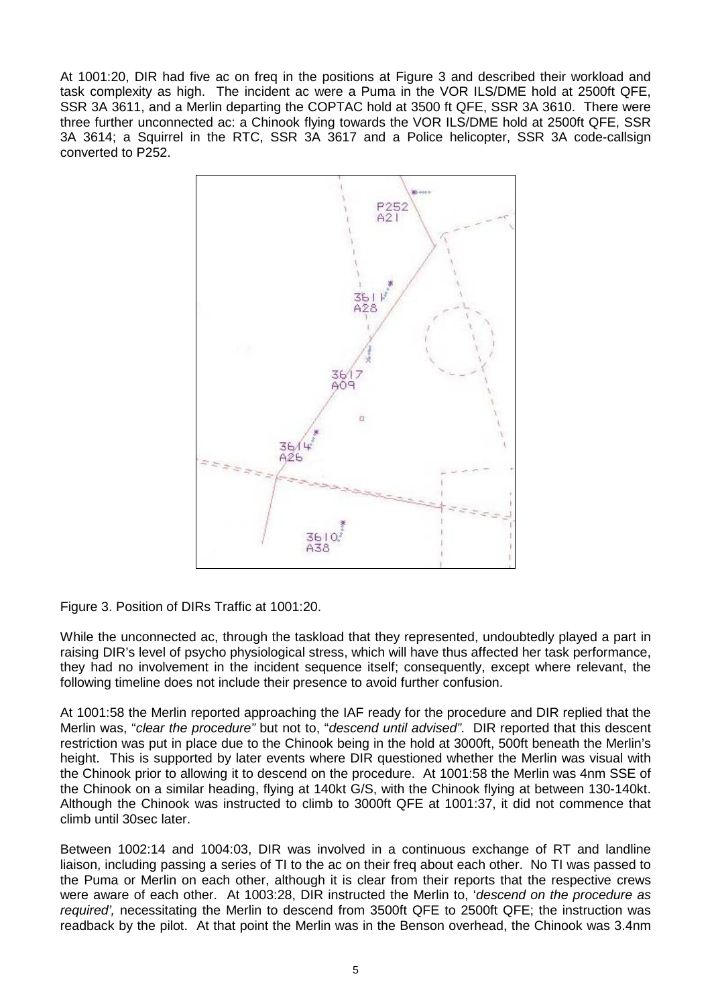At 1001:20, DIR had five ac on freq in the positions at Figure 3 and described their workload and task complexity as high. The incident ac were a Puma in the VOR ILS/DME hold at 2500ft QFE, SSR 3A 3611, and a Merlin departing the COPTAC hold at 3500 ft QFE, SSR 3A 3610. There were three further unconnected ac: a Chinook flying towards the VOR ILS/DME hold at 2500ft QFE, SSR 3A 3614; a Squirrel in the RTC, SSR 3A 3617 and a Police helicopter, SSR 3A code-callsign converted to P252.



Figure 3. Position of DIRs Traffic at 1001:20.

While the unconnected ac, through the taskload that they represented, undoubtedly played a part in raising DIR's level of psycho physiological stress, which will have thus affected her task performance, they had no involvement in the incident sequence itself; consequently, except where relevant, the following timeline does not include their presence to avoid further confusion.

At 1001:58 the Merlin reported approaching the IAF ready for the procedure and DIR replied that the Merlin was, "*clear the procedure"* but not to, "*descend until advised"*. DIR reported that this descent restriction was put in place due to the Chinook being in the hold at 3000ft, 500ft beneath the Merlin's height. This is supported by later events where DIR questioned whether the Merlin was visual with the Chinook prior to allowing it to descend on the procedure. At 1001:58 the Merlin was 4nm SSE of the Chinook on a similar heading, flying at 140kt G/S, with the Chinook flying at between 130-140kt. Although the Chinook was instructed to climb to 3000ft QFE at 1001:37, it did not commence that climb until 30sec later.

Between 1002:14 and 1004:03, DIR was involved in a continuous exchange of RT and landline liaison, including passing a series of TI to the ac on their freq about each other. No TI was passed to the Puma or Merlin on each other, although it is clear from their reports that the respective crews were aware of each other. At 1003:28, DIR instructed the Merlin to, '*descend on the procedure as required',* necessitating the Merlin to descend from 3500ft QFE to 2500ft QFE; the instruction was readback by the pilot. At that point the Merlin was in the Benson overhead, the Chinook was 3.4nm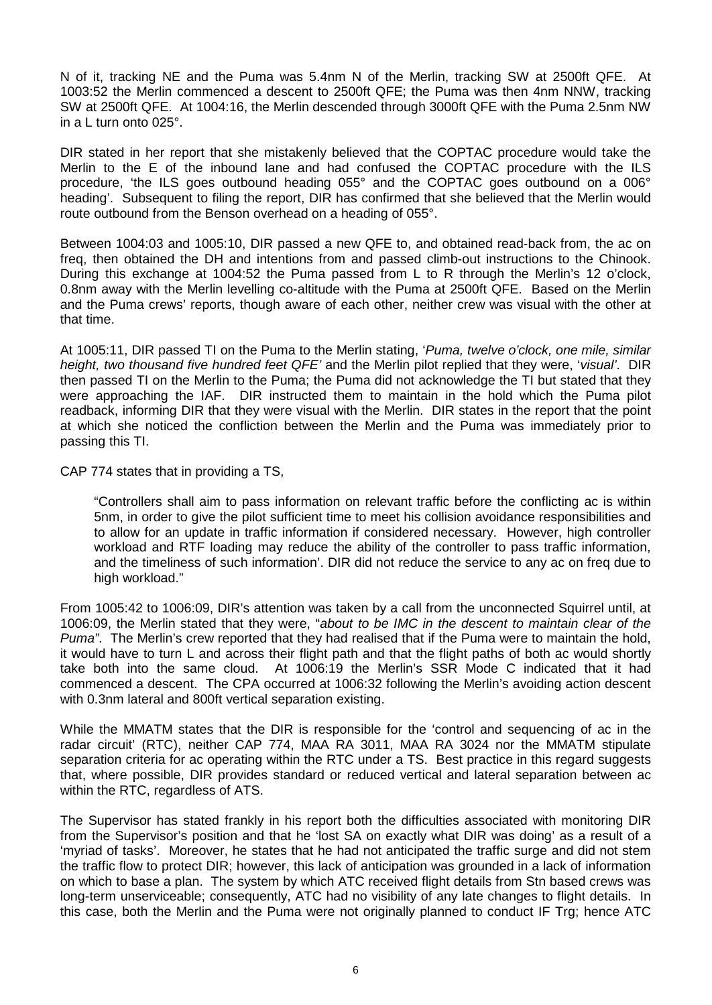N of it, tracking NE and the Puma was 5.4nm N of the Merlin, tracking SW at 2500ft QFE. At 1003:52 the Merlin commenced a descent to 2500ft QFE; the Puma was then 4nm NNW, tracking SW at 2500ft QFE. At 1004:16, the Merlin descended through 3000ft QFE with the Puma 2.5nm NW in a L turn onto 025°.

DIR stated in her report that she mistakenly believed that the COPTAC procedure would take the Merlin to the E of the inbound lane and had confused the COPTAC procedure with the ILS procedure, 'the ILS goes outbound heading 055° and the COPTAC goes outbound on a 006° heading'. Subsequent to filing the report, DIR has confirmed that she believed that the Merlin would route outbound from the Benson overhead on a heading of 055°.

Between 1004:03 and 1005:10, DIR passed a new QFE to, and obtained read-back from, the ac on freq, then obtained the DH and intentions from and passed climb-out instructions to the Chinook. During this exchange at 1004:52 the Puma passed from L to R through the Merlin's 12 o'clock, 0.8nm away with the Merlin levelling co-altitude with the Puma at 2500ft QFE. Based on the Merlin and the Puma crews' reports, though aware of each other, neither crew was visual with the other at that time.

At 1005:11, DIR passed TI on the Puma to the Merlin stating, '*Puma, twelve o'clock, one mile, similar height, two thousand five hundred feet QFE'* and the Merlin pilot replied that they were, '*visual'*. DIR then passed TI on the Merlin to the Puma; the Puma did not acknowledge the TI but stated that they were approaching the IAF. DIR instructed them to maintain in the hold which the Puma pilot readback, informing DIR that they were visual with the Merlin. DIR states in the report that the point at which she noticed the confliction between the Merlin and the Puma was immediately prior to passing this TI.

CAP 774 states that in providing a TS,

"Controllers shall aim to pass information on relevant traffic before the conflicting ac is within 5nm, in order to give the pilot sufficient time to meet his collision avoidance responsibilities and to allow for an update in traffic information if considered necessary. However, high controller workload and RTF loading may reduce the ability of the controller to pass traffic information, and the timeliness of such information'. DIR did not reduce the service to any ac on freq due to high workload."

From 1005:42 to 1006:09, DIR's attention was taken by a call from the unconnected Squirrel until, at 1006:09, the Merlin stated that they were, "*about to be IMC in the descent to maintain clear of the Puma"*. The Merlin's crew reported that they had realised that if the Puma were to maintain the hold, it would have to turn L and across their flight path and that the flight paths of both ac would shortly take both into the same cloud. At 1006:19 the Merlin's SSR Mode C indicated that it had commenced a descent. The CPA occurred at 1006:32 following the Merlin's avoiding action descent with 0.3nm lateral and 800ft vertical separation existing.

While the MMATM states that the DIR is responsible for the 'control and sequencing of ac in the radar circuit' (RTC), neither CAP 774, MAA RA 3011, MAA RA 3024 nor the MMATM stipulate separation criteria for ac operating within the RTC under a TS. Best practice in this regard suggests that, where possible, DIR provides standard or reduced vertical and lateral separation between ac within the RTC, regardless of ATS.

The Supervisor has stated frankly in his report both the difficulties associated with monitoring DIR from the Supervisor's position and that he 'lost SA on exactly what DIR was doing' as a result of a 'myriad of tasks'. Moreover, he states that he had not anticipated the traffic surge and did not stem the traffic flow to protect DIR; however, this lack of anticipation was grounded in a lack of information on which to base a plan. The system by which ATC received flight details from Stn based crews was long-term unserviceable; consequently, ATC had no visibility of any late changes to flight details. In this case, both the Merlin and the Puma were not originally planned to conduct IF Trg; hence ATC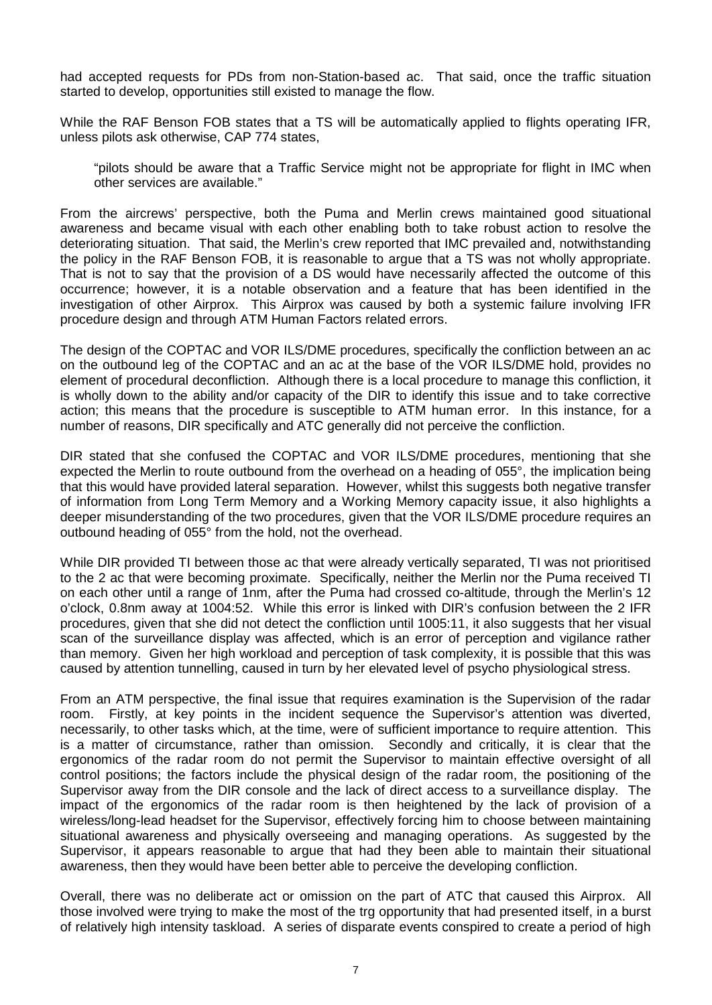had accepted requests for PDs from non-Station-based ac. That said, once the traffic situation started to develop, opportunities still existed to manage the flow.

While the RAF Benson FOB states that a TS will be automatically applied to flights operating IFR, unless pilots ask otherwise, CAP 774 states,

"pilots should be aware that a Traffic Service might not be appropriate for flight in IMC when other services are available."

From the aircrews' perspective, both the Puma and Merlin crews maintained good situational awareness and became visual with each other enabling both to take robust action to resolve the deteriorating situation. That said, the Merlin's crew reported that IMC prevailed and, notwithstanding the policy in the RAF Benson FOB, it is reasonable to argue that a TS was not wholly appropriate. That is not to say that the provision of a DS would have necessarily affected the outcome of this occurrence; however, it is a notable observation and a feature that has been identified in the investigation of other Airprox. This Airprox was caused by both a systemic failure involving IFR procedure design and through ATM Human Factors related errors.

The design of the COPTAC and VOR ILS/DME procedures, specifically the confliction between an ac on the outbound leg of the COPTAC and an ac at the base of the VOR ILS/DME hold, provides no element of procedural deconfliction. Although there is a local procedure to manage this confliction, it is wholly down to the ability and/or capacity of the DIR to identify this issue and to take corrective action; this means that the procedure is susceptible to ATM human error. In this instance, for a number of reasons, DIR specifically and ATC generally did not perceive the confliction.

DIR stated that she confused the COPTAC and VOR ILS/DME procedures, mentioning that she expected the Merlin to route outbound from the overhead on a heading of 055°, the implication being that this would have provided lateral separation. However, whilst this suggests both negative transfer of information from Long Term Memory and a Working Memory capacity issue, it also highlights a deeper misunderstanding of the two procedures, given that the VOR ILS/DME procedure requires an outbound heading of 055° from the hold, not the overhead.

While DIR provided TI between those ac that were already vertically separated, TI was not prioritised to the 2 ac that were becoming proximate. Specifically, neither the Merlin nor the Puma received TI on each other until a range of 1nm, after the Puma had crossed co-altitude, through the Merlin's 12 o'clock, 0.8nm away at 1004:52. While this error is linked with DIR's confusion between the 2 IFR procedures, given that she did not detect the confliction until 1005:11, it also suggests that her visual scan of the surveillance display was affected, which is an error of perception and vigilance rather than memory. Given her high workload and perception of task complexity, it is possible that this was caused by attention tunnelling, caused in turn by her elevated level of psycho physiological stress.

From an ATM perspective, the final issue that requires examination is the Supervision of the radar room. Firstly, at key points in the incident sequence the Supervisor's attention was diverted, necessarily, to other tasks which, at the time, were of sufficient importance to require attention. This is a matter of circumstance, rather than omission. Secondly and critically, it is clear that the ergonomics of the radar room do not permit the Supervisor to maintain effective oversight of all control positions; the factors include the physical design of the radar room, the positioning of the Supervisor away from the DIR console and the lack of direct access to a surveillance display. The impact of the ergonomics of the radar room is then heightened by the lack of provision of a wireless/long-lead headset for the Supervisor, effectively forcing him to choose between maintaining situational awareness and physically overseeing and managing operations. As suggested by the Supervisor, it appears reasonable to argue that had they been able to maintain their situational awareness, then they would have been better able to perceive the developing confliction.

Overall, there was no deliberate act or omission on the part of ATC that caused this Airprox. All those involved were trying to make the most of the trg opportunity that had presented itself, in a burst of relatively high intensity taskload. A series of disparate events conspired to create a period of high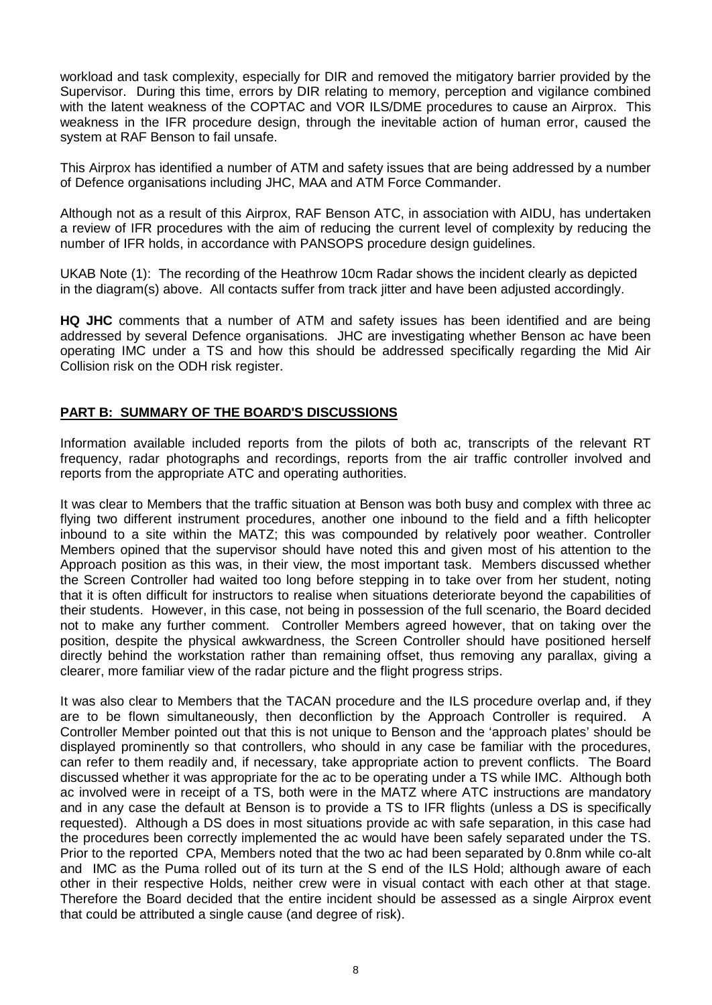workload and task complexity, especially for DIR and removed the mitigatory barrier provided by the Supervisor. During this time, errors by DIR relating to memory, perception and vigilance combined with the latent weakness of the COPTAC and VOR ILS/DME procedures to cause an Airprox. This weakness in the IFR procedure design, through the inevitable action of human error, caused the system at RAF Benson to fail unsafe.

This Airprox has identified a number of ATM and safety issues that are being addressed by a number of Defence organisations including JHC, MAA and ATM Force Commander.

Although not as a result of this Airprox, RAF Benson ATC, in association with AIDU, has undertaken a review of IFR procedures with the aim of reducing the current level of complexity by reducing the number of IFR holds, in accordance with PANSOPS procedure design guidelines.

UKAB Note (1): The recording of the Heathrow 10cm Radar shows the incident clearly as depicted in the diagram(s) above. All contacts suffer from track jitter and have been adjusted accordingly.

**HQ JHC** comments that a number of ATM and safety issues has been identified and are being addressed by several Defence organisations. JHC are investigating whether Benson ac have been operating IMC under a TS and how this should be addressed specifically regarding the Mid Air Collision risk on the ODH risk register.

## **PART B: SUMMARY OF THE BOARD'S DISCUSSIONS**

Information available included reports from the pilots of both ac, transcripts of the relevant RT frequency, radar photographs and recordings, reports from the air traffic controller involved and reports from the appropriate ATC and operating authorities.

It was clear to Members that the traffic situation at Benson was both busy and complex with three ac flying two different instrument procedures, another one inbound to the field and a fifth helicopter inbound to a site within the MATZ; this was compounded by relatively poor weather. Controller Members opined that the supervisor should have noted this and given most of his attention to the Approach position as this was, in their view, the most important task. Members discussed whether the Screen Controller had waited too long before stepping in to take over from her student, noting that it is often difficult for instructors to realise when situations deteriorate beyond the capabilities of their students. However, in this case, not being in possession of the full scenario, the Board decided not to make any further comment. Controller Members agreed however, that on taking over the position, despite the physical awkwardness, the Screen Controller should have positioned herself directly behind the workstation rather than remaining offset, thus removing any parallax, giving a clearer, more familiar view of the radar picture and the flight progress strips.

It was also clear to Members that the TACAN procedure and the ILS procedure overlap and, if they are to be flown simultaneously, then deconfliction by the Approach Controller is required. A Controller Member pointed out that this is not unique to Benson and the 'approach plates' should be displayed prominently so that controllers, who should in any case be familiar with the procedures, can refer to them readily and, if necessary, take appropriate action to prevent conflicts. The Board discussed whether it was appropriate for the ac to be operating under a TS while IMC. Although both ac involved were in receipt of a TS, both were in the MATZ where ATC instructions are mandatory and in any case the default at Benson is to provide a TS to IFR flights (unless a DS is specifically requested). Although a DS does in most situations provide ac with safe separation, in this case had the procedures been correctly implemented the ac would have been safely separated under the TS. Prior to the reported CPA, Members noted that the two ac had been separated by 0.8nm while co-alt and IMC as the Puma rolled out of its turn at the S end of the ILS Hold; although aware of each other in their respective Holds, neither crew were in visual contact with each other at that stage. Therefore the Board decided that the entire incident should be assessed as a single Airprox event that could be attributed a single cause (and degree of risk).